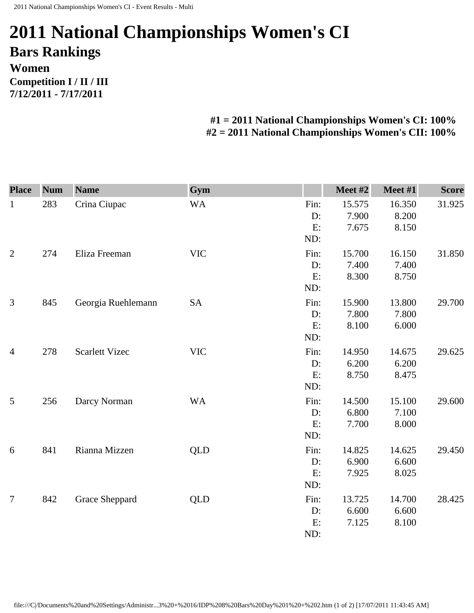## **2011 National Championships Women's CI Bars Rankings Women Competition I / II / III 7/12/2011 - 7/17/2011**

## **#1 = 2011 National Championships Women's CI: 100% #2 = 2011 National Championships Women's CII: 100%**

| <b>Place</b>   | <b>Num</b> | <b>Name</b>           | Gym        |      | Meet #2 | Meet #1 | <b>Score</b> |
|----------------|------------|-----------------------|------------|------|---------|---------|--------------|
| $\mathbf{1}$   | 283        | Crina Ciupac          | <b>WA</b>  | Fin: | 15.575  | 16.350  | 31.925       |
|                |            |                       |            | D:   | 7.900   | 8.200   |              |
|                |            |                       |            | E:   | 7.675   | 8.150   |              |
|                |            |                       |            | ND:  |         |         |              |
| $\overline{2}$ | 274        | Eliza Freeman         | <b>VIC</b> | Fin: | 15.700  | 16.150  | 31.850       |
|                |            |                       |            | D:   | 7.400   | 7.400   |              |
|                |            |                       |            | E:   | 8.300   | 8.750   |              |
|                |            |                       |            | ND:  |         |         |              |
| 3              | 845        | Georgia Ruehlemann    | SA         | Fin: | 15.900  | 13.800  | 29.700       |
|                |            |                       |            | D:   | 7.800   | 7.800   |              |
|                |            |                       |            | E:   | 8.100   | 6.000   |              |
|                |            |                       |            | ND:  |         |         |              |
| $\overline{4}$ | 278        | <b>Scarlett Vizec</b> | <b>VIC</b> | Fin: | 14.950  | 14.675  | 29.625       |
|                |            |                       |            | D:   | 6.200   | 6.200   |              |
|                |            |                       |            | E:   | 8.750   | 8.475   |              |
|                |            |                       |            | ND:  |         |         |              |
| $\mathfrak{S}$ | 256        | Darcy Norman          | <b>WA</b>  | Fin: | 14.500  | 15.100  | 29.600       |
|                |            |                       |            | D:   | 6.800   | 7.100   |              |
|                |            |                       |            | E:   | 7.700   | 8.000   |              |
|                |            |                       |            | ND:  |         |         |              |
| 6              | 841        | Rianna Mizzen         | <b>QLD</b> | Fin: | 14.825  | 14.625  | 29.450       |
|                |            |                       |            | D:   | 6.900   | 6.600   |              |
|                |            |                       |            | E:   | 7.925   | 8.025   |              |
|                |            |                       |            | ND:  |         |         |              |
| $\overline{7}$ | 842        | Grace Sheppard        | QLD        | Fin: | 13.725  | 14.700  | 28.425       |
|                |            |                       |            | D:   | 6.600   | 6.600   |              |
|                |            |                       |            | E:   | 7.125   | 8.100   |              |
|                |            |                       |            | ND:  |         |         |              |